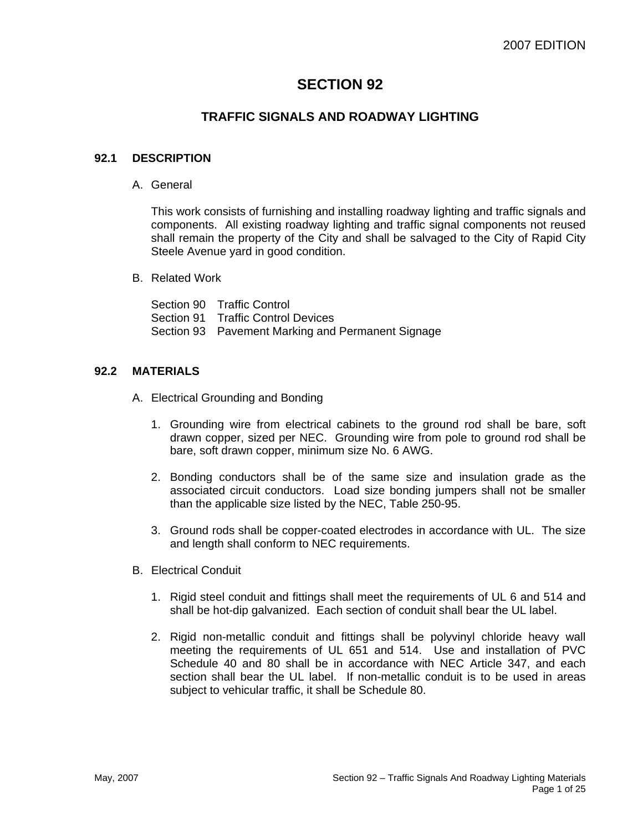# **SECTION 92**

# **TRAFFIC SIGNALS AND ROADWAY LIGHTING**

# **92.1 DESCRIPTION**

A. General

This work consists of furnishing and installing roadway lighting and traffic signals and components. All existing roadway lighting and traffic signal components not reused shall remain the property of the City and shall be salvaged to the City of Rapid City Steele Avenue yard in good condition.

B. Related Work

Section 90 Traffic Control Section 91 Traffic Control Devices Section 93 Pavement Marking and Permanent Signage

#### **92.2 MATERIALS**

- A. Electrical Grounding and Bonding
	- 1. Grounding wire from electrical cabinets to the ground rod shall be bare, soft drawn copper, sized per NEC. Grounding wire from pole to ground rod shall be bare, soft drawn copper, minimum size No. 6 AWG.
	- 2. Bonding conductors shall be of the same size and insulation grade as the associated circuit conductors. Load size bonding jumpers shall not be smaller than the applicable size listed by the NEC, Table 250-95.
	- 3. Ground rods shall be copper-coated electrodes in accordance with UL. The size and length shall conform to NEC requirements.
- B. Electrical Conduit
	- 1. Rigid steel conduit and fittings shall meet the requirements of UL 6 and 514 and shall be hot-dip galvanized. Each section of conduit shall bear the UL label.
	- 2. Rigid non-metallic conduit and fittings shall be polyvinyl chloride heavy wall meeting the requirements of UL 651 and 514. Use and installation of PVC Schedule 40 and 80 shall be in accordance with NEC Article 347, and each section shall bear the UL label. If non-metallic conduit is to be used in areas subject to vehicular traffic, it shall be Schedule 80.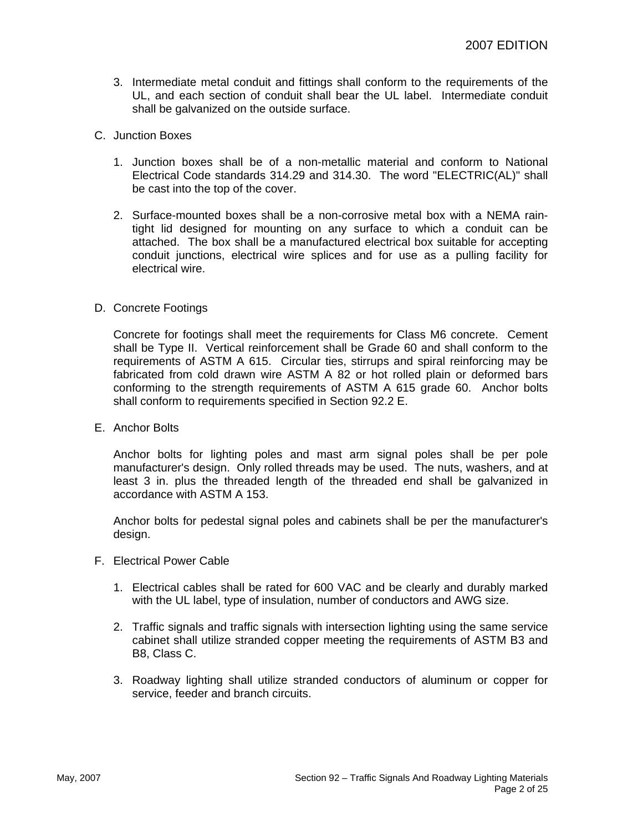3. Intermediate metal conduit and fittings shall conform to the requirements of the UL, and each section of conduit shall bear the UL label. Intermediate conduit shall be galvanized on the outside surface.

#### C. Junction Boxes

- 1. Junction boxes shall be of a non-metallic material and conform to National Electrical Code standards 314.29 and 314.30. The word "ELECTRIC(AL)" shall be cast into the top of the cover.
- 2. Surface-mounted boxes shall be a non-corrosive metal box with a NEMA raintight lid designed for mounting on any surface to which a conduit can be attached. The box shall be a manufactured electrical box suitable for accepting conduit junctions, electrical wire splices and for use as a pulling facility for electrical wire.

#### D. Concrete Footings

Concrete for footings shall meet the requirements for Class M6 concrete. Cement shall be Type II. Vertical reinforcement shall be Grade 60 and shall conform to the requirements of ASTM A 615. Circular ties, stirrups and spiral reinforcing may be fabricated from cold drawn wire ASTM A 82 or hot rolled plain or deformed bars conforming to the strength requirements of ASTM A 615 grade 60. Anchor bolts shall conform to requirements specified in Section 92.2 E.

E. Anchor Bolts

Anchor bolts for lighting poles and mast arm signal poles shall be per pole manufacturer's design. Only rolled threads may be used. The nuts, washers, and at least 3 in. plus the threaded length of the threaded end shall be galvanized in accordance with ASTM A 153.

Anchor bolts for pedestal signal poles and cabinets shall be per the manufacturer's design.

- F. Electrical Power Cable
	- 1. Electrical cables shall be rated for 600 VAC and be clearly and durably marked with the UL label, type of insulation, number of conductors and AWG size.
	- 2. Traffic signals and traffic signals with intersection lighting using the same service cabinet shall utilize stranded copper meeting the requirements of ASTM B3 and B8, Class C.
	- 3. Roadway lighting shall utilize stranded conductors of aluminum or copper for service, feeder and branch circuits.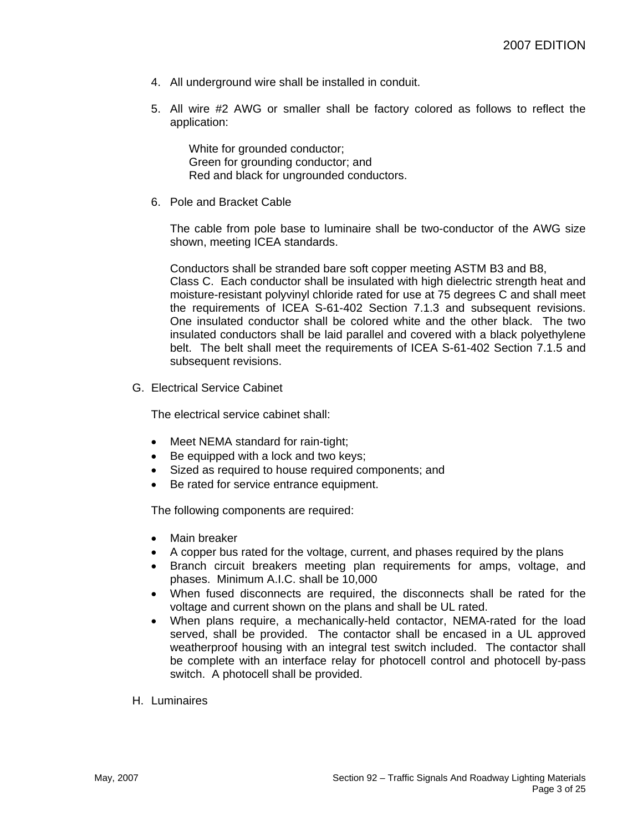- 4. All underground wire shall be installed in conduit.
- 5. All wire #2 AWG or smaller shall be factory colored as follows to reflect the application:

White for grounded conductor; Green for grounding conductor; and Red and black for ungrounded conductors.

6. Pole and Bracket Cable

The cable from pole base to luminaire shall be two-conductor of the AWG size shown, meeting ICEA standards.

Conductors shall be stranded bare soft copper meeting ASTM B3 and B8, Class C. Each conductor shall be insulated with high dielectric strength heat and moisture-resistant polyvinyl chloride rated for use at 75 degrees C and shall meet the requirements of ICEA S-61-402 Section 7.1.3 and subsequent revisions. One insulated conductor shall be colored white and the other black. The two insulated conductors shall be laid parallel and covered with a black polyethylene belt. The belt shall meet the requirements of ICEA S-61-402 Section 7.1.5 and subsequent revisions.

G. Electrical Service Cabinet

The electrical service cabinet shall:

- Meet NEMA standard for rain-tight;
- Be equipped with a lock and two keys;
- Sized as required to house required components; and
- Be rated for service entrance equipment.

The following components are required:

- Main breaker
- A copper bus rated for the voltage, current, and phases required by the plans
- Branch circuit breakers meeting plan requirements for amps, voltage, and phases. Minimum A.I.C. shall be 10,000
- When fused disconnects are required, the disconnects shall be rated for the voltage and current shown on the plans and shall be UL rated.
- When plans require, a mechanically-held contactor, NEMA-rated for the load served, shall be provided. The contactor shall be encased in a UL approved weatherproof housing with an integral test switch included. The contactor shall be complete with an interface relay for photocell control and photocell by-pass switch. A photocell shall be provided.
- H. Luminaires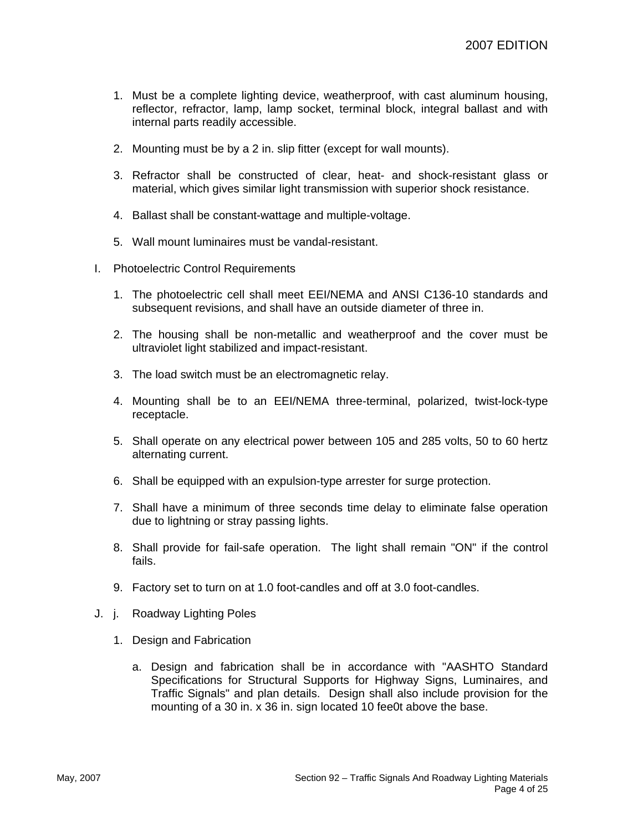- 1. Must be a complete lighting device, weatherproof, with cast aluminum housing, reflector, refractor, lamp, lamp socket, terminal block, integral ballast and with internal parts readily accessible.
- 2. Mounting must be by a 2 in. slip fitter (except for wall mounts).
- 3. Refractor shall be constructed of clear, heat- and shock-resistant glass or material, which gives similar light transmission with superior shock resistance.
- 4. Ballast shall be constant-wattage and multiple-voltage.
- 5. Wall mount luminaires must be vandal-resistant.
- I. Photoelectric Control Requirements
	- 1. The photoelectric cell shall meet EEI/NEMA and ANSI C136-10 standards and subsequent revisions, and shall have an outside diameter of three in.
	- 2. The housing shall be non-metallic and weatherproof and the cover must be ultraviolet light stabilized and impact-resistant.
	- 3. The load switch must be an electromagnetic relay.
	- 4. Mounting shall be to an EEI/NEMA three-terminal, polarized, twist-lock-type receptacle.
	- 5. Shall operate on any electrical power between 105 and 285 volts, 50 to 60 hertz alternating current.
	- 6. Shall be equipped with an expulsion-type arrester for surge protection.
	- 7. Shall have a minimum of three seconds time delay to eliminate false operation due to lightning or stray passing lights.
	- 8. Shall provide for fail-safe operation. The light shall remain "ON" if the control fails.
	- 9. Factory set to turn on at 1.0 foot-candles and off at 3.0 foot-candles.
- J. j. Roadway Lighting Poles
	- 1. Design and Fabrication
		- a. Design and fabrication shall be in accordance with "AASHTO Standard Specifications for Structural Supports for Highway Signs, Luminaires, and Traffic Signals" and plan details. Design shall also include provision for the mounting of a 30 in. x 36 in. sign located 10 fee0t above the base.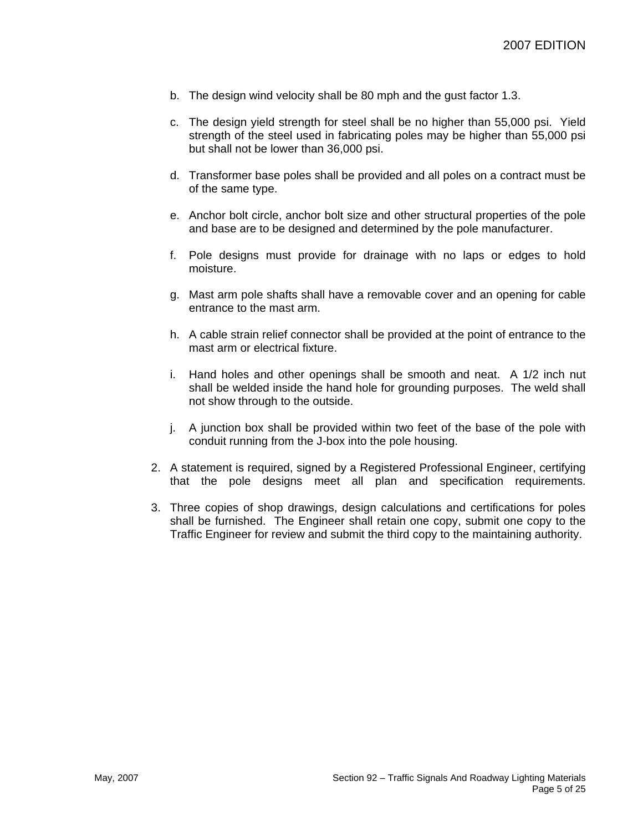- b. The design wind velocity shall be 80 mph and the gust factor 1.3.
- c. The design yield strength for steel shall be no higher than 55,000 psi. Yield strength of the steel used in fabricating poles may be higher than 55,000 psi but shall not be lower than 36,000 psi.
- d. Transformer base poles shall be provided and all poles on a contract must be of the same type.
- e. Anchor bolt circle, anchor bolt size and other structural properties of the pole and base are to be designed and determined by the pole manufacturer.
- f. Pole designs must provide for drainage with no laps or edges to hold moisture.
- g. Mast arm pole shafts shall have a removable cover and an opening for cable entrance to the mast arm.
- h. A cable strain relief connector shall be provided at the point of entrance to the mast arm or electrical fixture.
- i. Hand holes and other openings shall be smooth and neat. A 1/2 inch nut shall be welded inside the hand hole for grounding purposes. The weld shall not show through to the outside.
- j. A junction box shall be provided within two feet of the base of the pole with conduit running from the J-box into the pole housing.
- 2. A statement is required, signed by a Registered Professional Engineer, certifying that the pole designs meet all plan and specification requirements.
- 3. Three copies of shop drawings, design calculations and certifications for poles shall be furnished. The Engineer shall retain one copy, submit one copy to the Traffic Engineer for review and submit the third copy to the maintaining authority.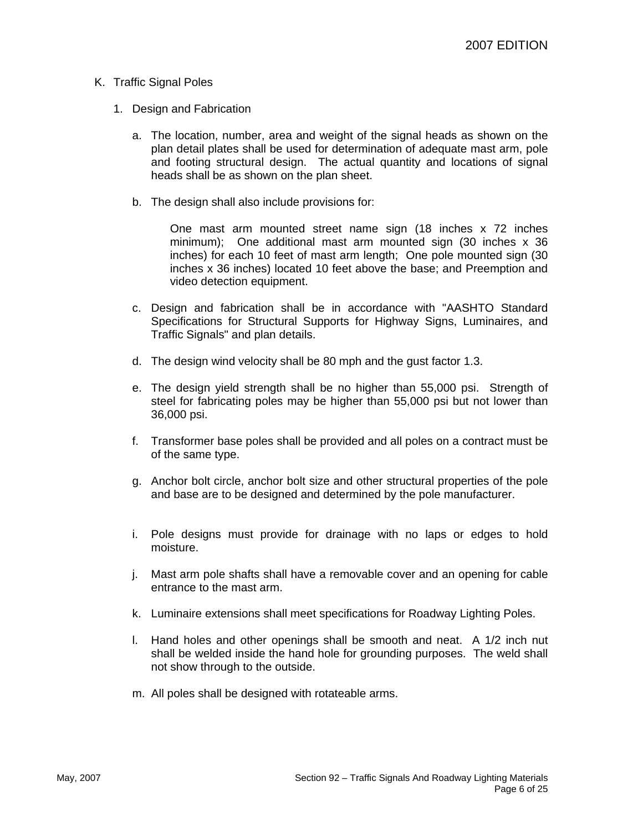#### K. Traffic Signal Poles

- 1. Design and Fabrication
	- a. The location, number, area and weight of the signal heads as shown on the plan detail plates shall be used for determination of adequate mast arm, pole and footing structural design. The actual quantity and locations of signal heads shall be as shown on the plan sheet.
	- b. The design shall also include provisions for:

One mast arm mounted street name sign (18 inches x 72 inches minimum); One additional mast arm mounted sign (30 inches x 36 inches) for each 10 feet of mast arm length; One pole mounted sign (30 inches x 36 inches) located 10 feet above the base; and Preemption and video detection equipment.

- c. Design and fabrication shall be in accordance with "AASHTO Standard Specifications for Structural Supports for Highway Signs, Luminaires, and Traffic Signals" and plan details.
- d. The design wind velocity shall be 80 mph and the gust factor 1.3.
- e. The design yield strength shall be no higher than 55,000 psi. Strength of steel for fabricating poles may be higher than 55,000 psi but not lower than 36,000 psi.
- f. Transformer base poles shall be provided and all poles on a contract must be of the same type.
- g. Anchor bolt circle, anchor bolt size and other structural properties of the pole and base are to be designed and determined by the pole manufacturer.
- i. Pole designs must provide for drainage with no laps or edges to hold moisture.
- j. Mast arm pole shafts shall have a removable cover and an opening for cable entrance to the mast arm.
- k. Luminaire extensions shall meet specifications for Roadway Lighting Poles.
- l. Hand holes and other openings shall be smooth and neat. A 1/2 inch nut shall be welded inside the hand hole for grounding purposes. The weld shall not show through to the outside.
- m. All poles shall be designed with rotateable arms.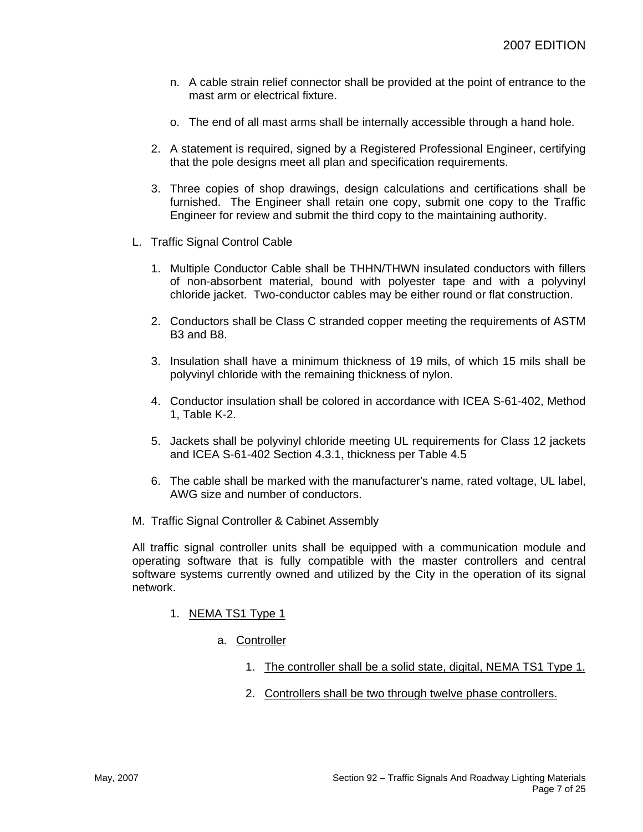- n. A cable strain relief connector shall be provided at the point of entrance to the mast arm or electrical fixture.
- o. The end of all mast arms shall be internally accessible through a hand hole.
- 2. A statement is required, signed by a Registered Professional Engineer, certifying that the pole designs meet all plan and specification requirements.
- 3. Three copies of shop drawings, design calculations and certifications shall be furnished. The Engineer shall retain one copy, submit one copy to the Traffic Engineer for review and submit the third copy to the maintaining authority.
- L. Traffic Signal Control Cable
	- 1. Multiple Conductor Cable shall be THHN/THWN insulated conductors with fillers of non-absorbent material, bound with polyester tape and with a polyvinyl chloride jacket. Two-conductor cables may be either round or flat construction.
	- 2. Conductors shall be Class C stranded copper meeting the requirements of ASTM B3 and B8.
	- 3. Insulation shall have a minimum thickness of 19 mils, of which 15 mils shall be polyvinyl chloride with the remaining thickness of nylon.
	- 4. Conductor insulation shall be colored in accordance with ICEA S-61-402, Method 1, Table K-2.
	- 5. Jackets shall be polyvinyl chloride meeting UL requirements for Class 12 jackets and ICEA S-61-402 Section 4.3.1, thickness per Table 4.5
	- 6. The cable shall be marked with the manufacturer's name, rated voltage, UL label, AWG size and number of conductors.
- M. Traffic Signal Controller & Cabinet Assembly

All traffic signal controller units shall be equipped with a communication module and operating software that is fully compatible with the master controllers and central software systems currently owned and utilized by the City in the operation of its signal network.

- 1. NEMA TS1 Type 1
	- a. Controller
		- 1. The controller shall be a solid state, digital, NEMA TS1 Type 1.
		- 2. Controllers shall be two through twelve phase controllers.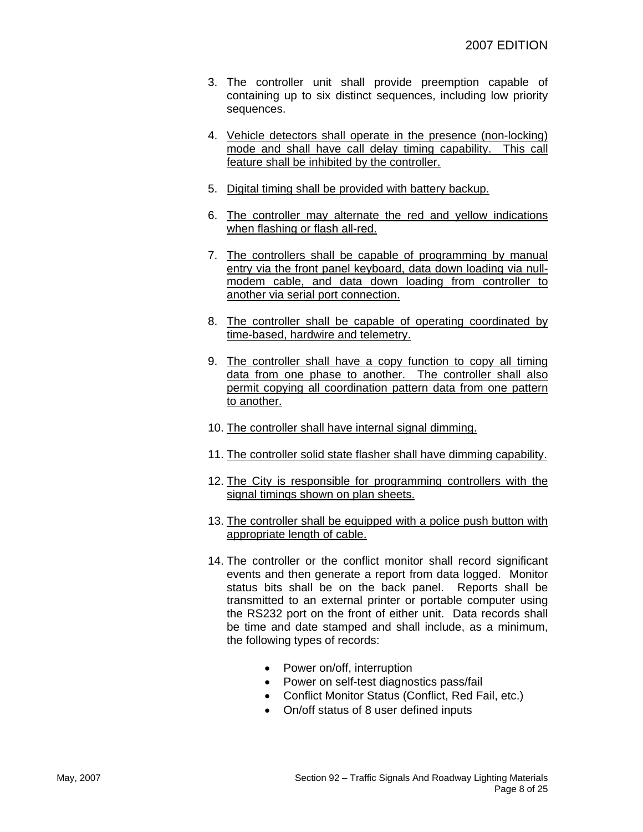- 3. The controller unit shall provide preemption capable of containing up to six distinct sequences, including low priority sequences.
- 4. Vehicle detectors shall operate in the presence (non-locking) mode and shall have call delay timing capability. This call feature shall be inhibited by the controller.
- 5. Digital timing shall be provided with battery backup.
- 6. The controller may alternate the red and yellow indications when flashing or flash all-red.
- 7. The controllers shall be capable of programming by manual entry via the front panel keyboard, data down loading via nullmodem cable, and data down loading from controller to another via serial port connection.
- 8. The controller shall be capable of operating coordinated by time-based, hardwire and telemetry.
- 9. The controller shall have a copy function to copy all timing data from one phase to another. The controller shall also permit copying all coordination pattern data from one pattern to another.
- 10. The controller shall have internal signal dimming.
- 11. The controller solid state flasher shall have dimming capability.
- 12. The City is responsible for programming controllers with the signal timings shown on plan sheets.
- 13. The controller shall be equipped with a police push button with appropriate length of cable.
- 14. The controller or the conflict monitor shall record significant events and then generate a report from data logged. Monitor status bits shall be on the back panel. Reports shall be transmitted to an external printer or portable computer using the RS232 port on the front of either unit. Data records shall be time and date stamped and shall include, as a minimum, the following types of records:
	- Power on/off, interruption
	- Power on self-test diagnostics pass/fail
	- Conflict Monitor Status (Conflict, Red Fail, etc.)
	- On/off status of 8 user defined inputs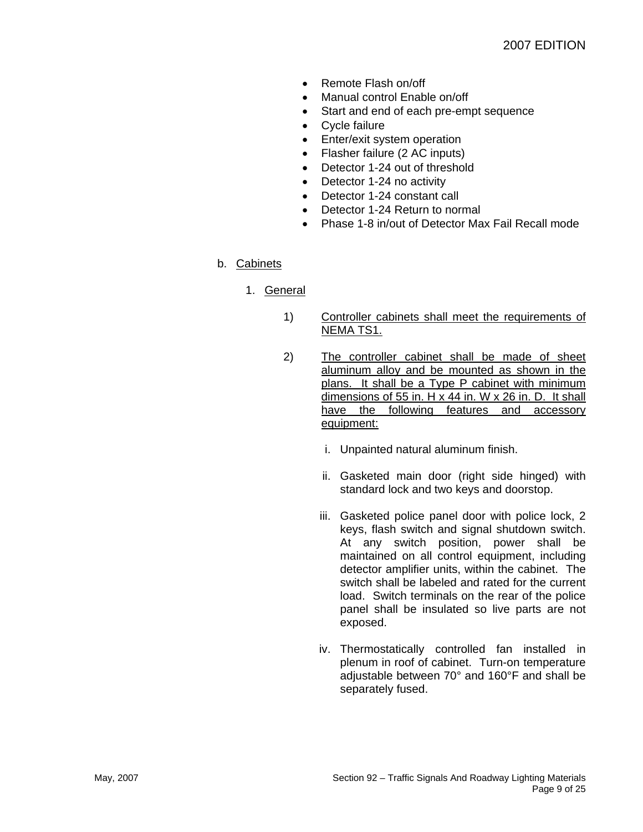- Remote Flash on/off
- Manual control Enable on/off
- Start and end of each pre-empt sequence
- Cycle failure
- Enter/exit system operation
- Flasher failure (2 AC inputs)
- Detector 1-24 out of threshold
- Detector 1-24 no activity
- Detector 1-24 constant call
- Detector 1-24 Return to normal
- Phase 1-8 in/out of Detector Max Fail Recall mode

# b. Cabinets

- 1. General
	- 1) Controller cabinets shall meet the requirements of NEMA TS1.
	- 2) The controller cabinet shall be made of sheet aluminum alloy and be mounted as shown in the plans. It shall be a Type P cabinet with minimum dimensions of 55 in. H x 44 in. W x 26 in. D. It shall have the following features and accessory equipment:
		- i. Unpainted natural aluminum finish.
		- ii. Gasketed main door (right side hinged) with standard lock and two keys and doorstop.
		- iii. Gasketed police panel door with police lock, 2 keys, flash switch and signal shutdown switch. At any switch position, power shall be maintained on all control equipment, including detector amplifier units, within the cabinet. The switch shall be labeled and rated for the current load. Switch terminals on the rear of the police panel shall be insulated so live parts are not exposed.
		- iv. Thermostatically controlled fan installed in plenum in roof of cabinet. Turn-on temperature adjustable between 70° and 160°F and shall be separately fused.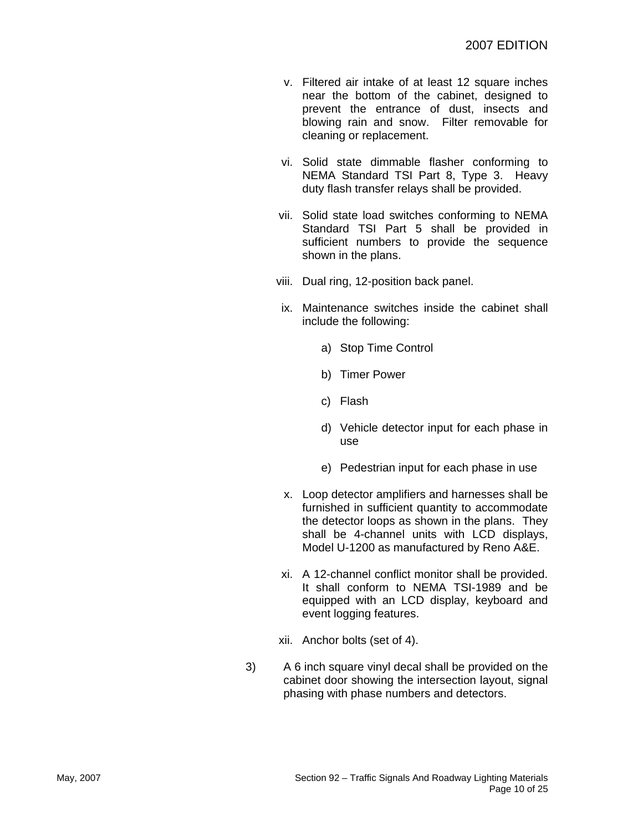- v. Filtered air intake of at least 12 square inches near the bottom of the cabinet, designed to prevent the entrance of dust, insects and blowing rain and snow. Filter removable for cleaning or replacement.
- vi. Solid state dimmable flasher conforming to NEMA Standard TSI Part 8, Type 3. Heavy duty flash transfer relays shall be provided.
- vii. Solid state load switches conforming to NEMA Standard TSI Part 5 shall be provided in sufficient numbers to provide the sequence shown in the plans.
- viii. Dual ring, 12-position back panel.
- ix. Maintenance switches inside the cabinet shall include the following:
	- a) Stop Time Control
	- b) Timer Power
	- c) Flash
	- d) Vehicle detector input for each phase in use
	- e) Pedestrian input for each phase in use
- x. Loop detector amplifiers and harnesses shall be furnished in sufficient quantity to accommodate the detector loops as shown in the plans. They shall be 4-channel units with LCD displays, Model U-1200 as manufactured by Reno A&E.
- xi. A 12-channel conflict monitor shall be provided. It shall conform to NEMA TSI-1989 and be equipped with an LCD display, keyboard and event logging features.
- xii. Anchor bolts (set of 4).
- 3) A 6 inch square vinyl decal shall be provided on the cabinet door showing the intersection layout, signal phasing with phase numbers and detectors.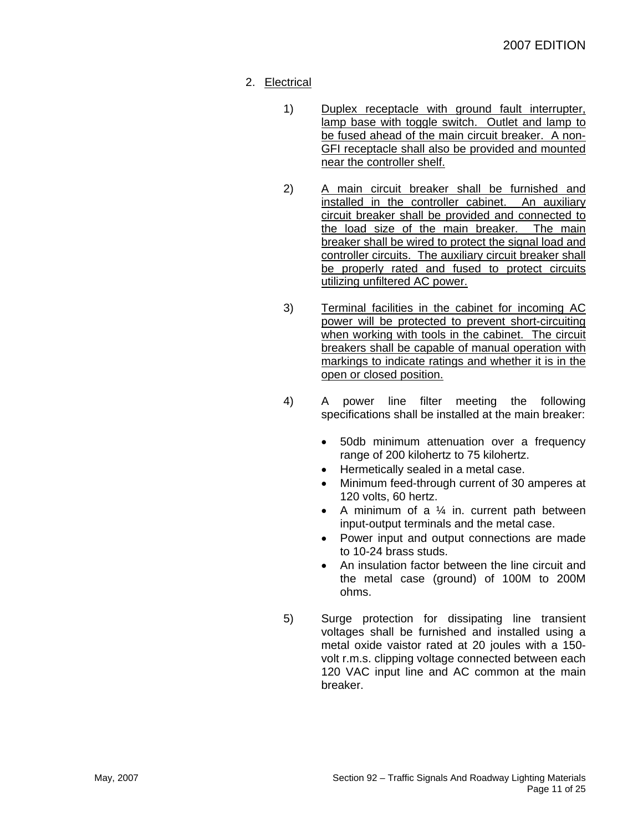- 2. Electrical
	- 1) Duplex receptacle with ground fault interrupter, lamp base with toggle switch. Outlet and lamp to be fused ahead of the main circuit breaker. A non-GFI receptacle shall also be provided and mounted near the controller shelf.
	- 2) A main circuit breaker shall be furnished and installed in the controller cabinet. An auxiliary circuit breaker shall be provided and connected to the load size of the main breaker. The main breaker shall be wired to protect the signal load and controller circuits. The auxiliary circuit breaker shall be properly rated and fused to protect circuits utilizing unfiltered AC power.
	- 3) Terminal facilities in the cabinet for incoming AC power will be protected to prevent short-circuiting when working with tools in the cabinet. The circuit breakers shall be capable of manual operation with markings to indicate ratings and whether it is in the open or closed position.
	- 4) A power line filter meeting the following specifications shall be installed at the main breaker:
		- 50db minimum attenuation over a frequency range of 200 kilohertz to 75 kilohertz.
		- Hermetically sealed in a metal case.
		- Minimum feed-through current of 30 amperes at 120 volts, 60 hertz.
		- A minimum of a  $\frac{1}{4}$  in. current path between input-output terminals and the metal case.
		- Power input and output connections are made to 10-24 brass studs.
		- An insulation factor between the line circuit and the metal case (ground) of 100M to 200M ohms.
	- 5) Surge protection for dissipating line transient voltages shall be furnished and installed using a metal oxide vaistor rated at 20 joules with a 150 volt r.m.s. clipping voltage connected between each 120 VAC input line and AC common at the main breaker.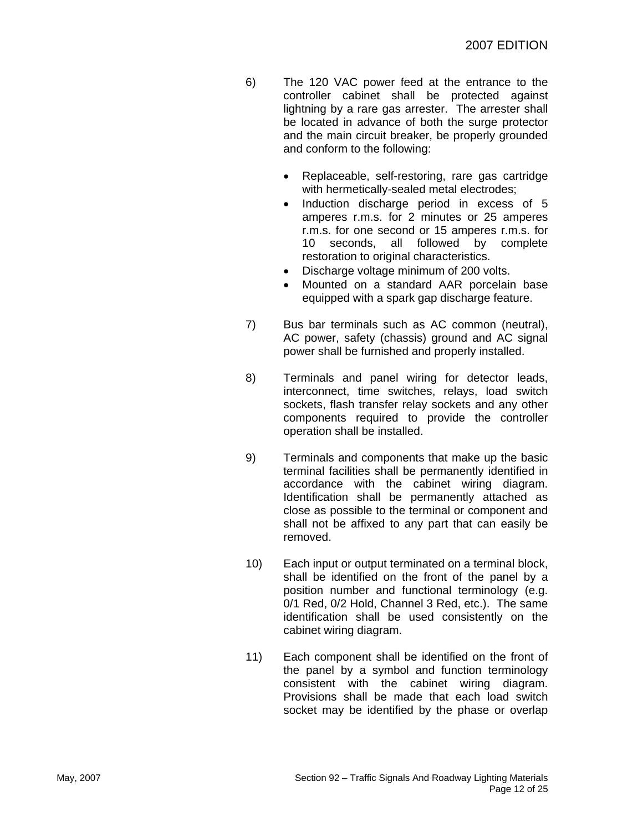- 6) The 120 VAC power feed at the entrance to the controller cabinet shall be protected against lightning by a rare gas arrester. The arrester shall be located in advance of both the surge protector and the main circuit breaker, be properly grounded and conform to the following:
	- Replaceable, self-restoring, rare gas cartridge with hermetically-sealed metal electrodes;
	- Induction discharge period in excess of 5 amperes r.m.s. for 2 minutes or 25 amperes r.m.s. for one second or 15 amperes r.m.s. for 10 seconds, all followed by complete restoration to original characteristics.
	- Discharge voltage minimum of 200 volts.
	- Mounted on a standard AAR porcelain base equipped with a spark gap discharge feature.
- 7) Bus bar terminals such as AC common (neutral), AC power, safety (chassis) ground and AC signal power shall be furnished and properly installed.
- 8) Terminals and panel wiring for detector leads, interconnect, time switches, relays, load switch sockets, flash transfer relay sockets and any other components required to provide the controller operation shall be installed.
- 9) Terminals and components that make up the basic terminal facilities shall be permanently identified in accordance with the cabinet wiring diagram. Identification shall be permanently attached as close as possible to the terminal or component and shall not be affixed to any part that can easily be removed.
- 10) Each input or output terminated on a terminal block, shall be identified on the front of the panel by a position number and functional terminology (e.g. 0/1 Red, 0/2 Hold, Channel 3 Red, etc.). The same identification shall be used consistently on the cabinet wiring diagram.
- 11) Each component shall be identified on the front of the panel by a symbol and function terminology consistent with the cabinet wiring diagram. Provisions shall be made that each load switch socket may be identified by the phase or overlap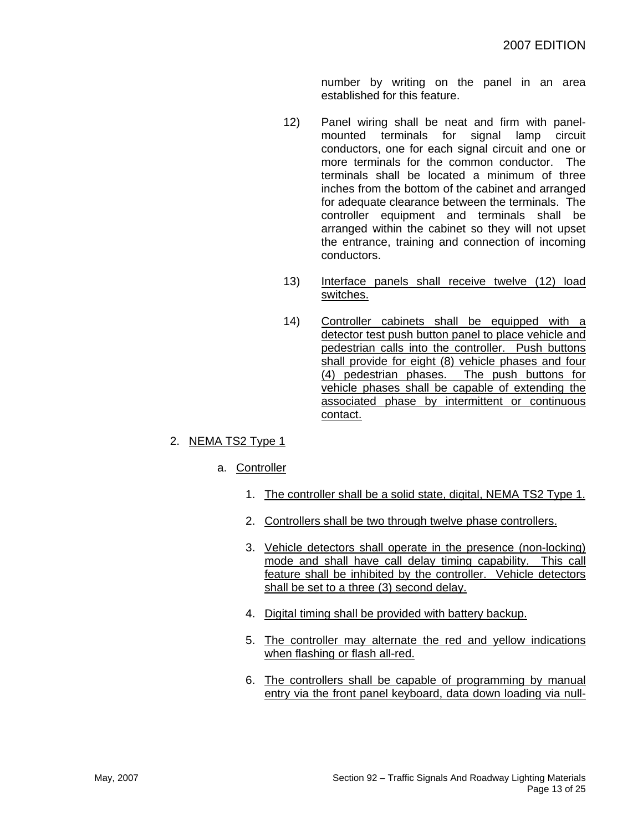number by writing on the panel in an area established for this feature.

- 12) Panel wiring shall be neat and firm with panelmounted terminals for signal lamp circuit conductors, one for each signal circuit and one or more terminals for the common conductor. The terminals shall be located a minimum of three inches from the bottom of the cabinet and arranged for adequate clearance between the terminals. The controller equipment and terminals shall be arranged within the cabinet so they will not upset the entrance, training and connection of incoming conductors.
- 13) Interface panels shall receive twelve (12) load switches.
- 14) Controller cabinets shall be equipped with a detector test push button panel to place vehicle and pedestrian calls into the controller. Push buttons shall provide for eight (8) vehicle phases and four (4) pedestrian phases. The push buttons for vehicle phases shall be capable of extending the associated phase by intermittent or continuous contact.
- 2. NEMA TS2 Type 1
	- a. Controller
		- 1. The controller shall be a solid state, digital, NEMA TS2 Type 1.
		- 2. Controllers shall be two through twelve phase controllers.
		- 3. Vehicle detectors shall operate in the presence (non-locking) mode and shall have call delay timing capability. This call feature shall be inhibited by the controller. Vehicle detectors shall be set to a three (3) second delay.
		- 4. Digital timing shall be provided with battery backup.
		- 5. The controller may alternate the red and yellow indications when flashing or flash all-red.
		- 6. The controllers shall be capable of programming by manual entry via the front panel keyboard, data down loading via null-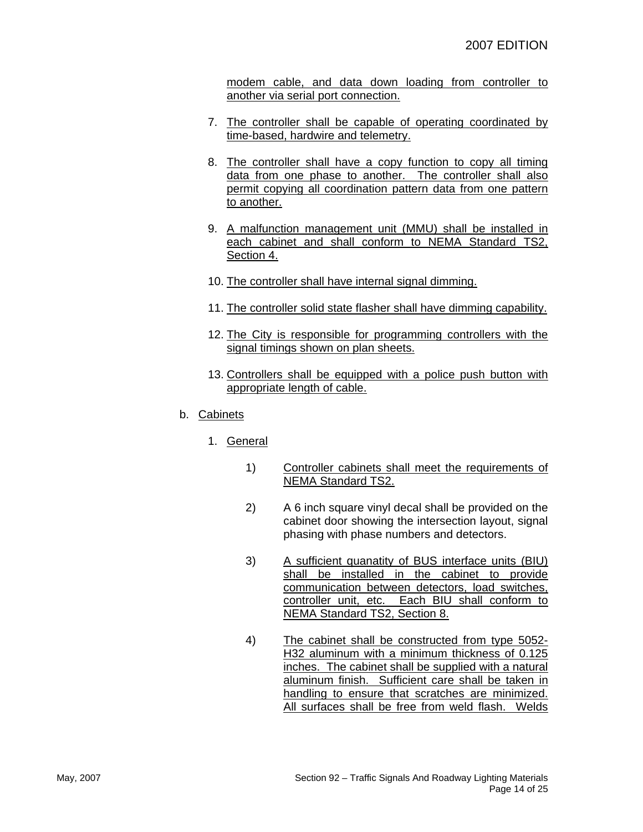modem cable, and data down loading from controller to another via serial port connection.

- 7. The controller shall be capable of operating coordinated by time-based, hardwire and telemetry.
- 8. The controller shall have a copy function to copy all timing data from one phase to another. The controller shall also permit copying all coordination pattern data from one pattern to another.
- 9. A malfunction management unit (MMU) shall be installed in each cabinet and shall conform to NEMA Standard TS2, Section 4.
- 10. The controller shall have internal signal dimming.
- 11. The controller solid state flasher shall have dimming capability.
- 12. The City is responsible for programming controllers with the signal timings shown on plan sheets.
- 13. Controllers shall be equipped with a police push button with appropriate length of cable.
- b. Cabinets
	- 1. General
		- 1) Controller cabinets shall meet the requirements of NEMA Standard TS2.
		- 2) A 6 inch square vinyl decal shall be provided on the cabinet door showing the intersection layout, signal phasing with phase numbers and detectors.
		- 3) A sufficient quanatity of BUS interface units (BIU) shall be installed in the cabinet to provide communication between detectors, load switches, controller unit, etc. Each BIU shall conform to NEMA Standard TS2, Section 8.
		- 4) The cabinet shall be constructed from type 5052- H32 aluminum with a minimum thickness of 0.125 inches. The cabinet shall be supplied with a natural aluminum finish. Sufficient care shall be taken in handling to ensure that scratches are minimized. All surfaces shall be free from weld flash. Welds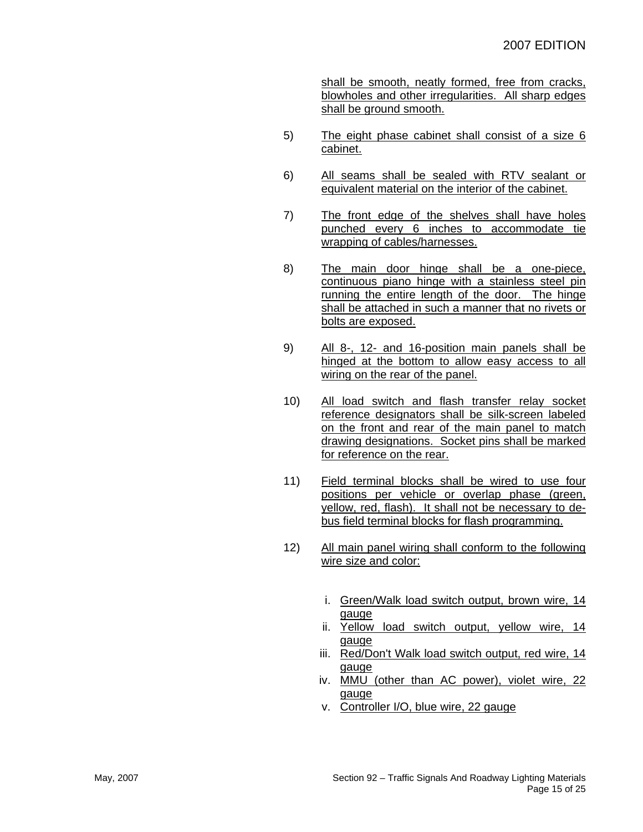shall be smooth, neatly formed, free from cracks, blowholes and other irregularities. All sharp edges shall be ground smooth.

- 5) The eight phase cabinet shall consist of a size 6 cabinet.
- 6) All seams shall be sealed with RTV sealant or equivalent material on the interior of the cabinet.
- 7) The front edge of the shelves shall have holes punched every 6 inches to accommodate tie wrapping of cables/harnesses.
- 8) The main door hinge shall be a one-piece, continuous piano hinge with a stainless steel pin running the entire length of the door. The hinge shall be attached in such a manner that no rivets or bolts are exposed.
- 9) All 8-, 12- and 16-position main panels shall be hinged at the bottom to allow easy access to all wiring on the rear of the panel.
- 10) All load switch and flash transfer relay socket reference designators shall be silk-screen labeled on the front and rear of the main panel to match drawing designations. Socket pins shall be marked for reference on the rear.
- 11) Field terminal blocks shall be wired to use four positions per vehicle or overlap phase (green, yellow, red, flash). It shall not be necessary to debus field terminal blocks for flash programming.
- 12) All main panel wiring shall conform to the following wire size and color:
	- i. Green/Walk load switch output, brown wire, 14 gauge
	- ii. Yellow load switch output, yellow wire, 14 gauge
	- iii. Red/Don't Walk load switch output, red wire, 14 gauge
	- iv. MMU (other than AC power), violet wire, 22 gauge
	- v. Controller I/O, blue wire, 22 gauge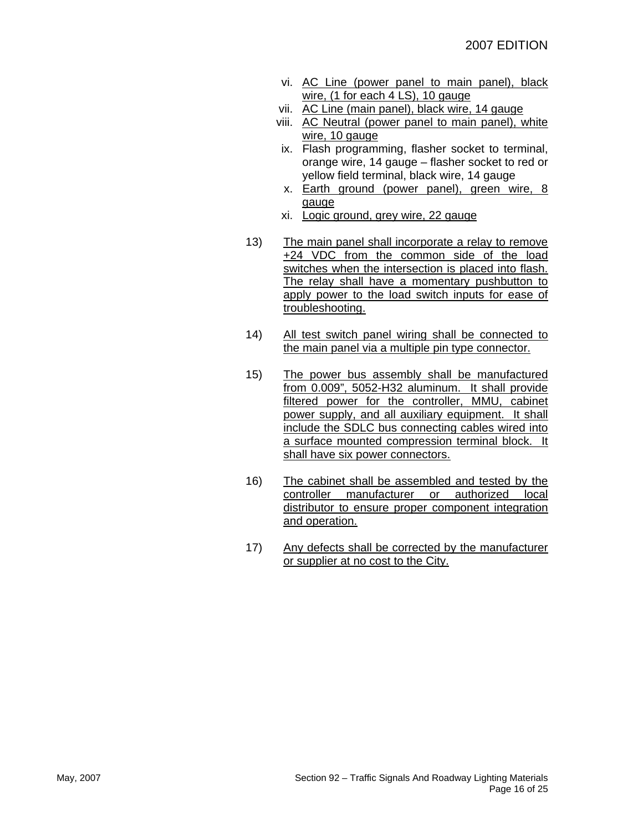- vi. AC Line (power panel to main panel), black wire, (1 for each 4 LS), 10 gauge
- vii. AC Line (main panel), black wire, 14 gauge
- viii. AC Neutral (power panel to main panel), white wire, 10 gauge
- ix. Flash programming, flasher socket to terminal, orange wire, 14 gauge – flasher socket to red or yellow field terminal, black wire, 14 gauge
- x. Earth ground (power panel), green wire, 8 gauge
- xi. Logic ground, grey wire, 22 gauge
- 13) The main panel shall incorporate a relay to remove +24 VDC from the common side of the load switches when the intersection is placed into flash. The relay shall have a momentary pushbutton to apply power to the load switch inputs for ease of troubleshooting.
- 14) All test switch panel wiring shall be connected to the main panel via a multiple pin type connector.
- 15) The power bus assembly shall be manufactured from 0.009", 5052-H32 aluminum. It shall provide filtered power for the controller, MMU, cabinet power supply, and all auxiliary equipment. It shall include the SDLC bus connecting cables wired into a surface mounted compression terminal block. It shall have six power connectors.
- 16) The cabinet shall be assembled and tested by the controller manufacturer or authorized local distributor to ensure proper component integration and operation.
- 17) Any defects shall be corrected by the manufacturer or supplier at no cost to the City.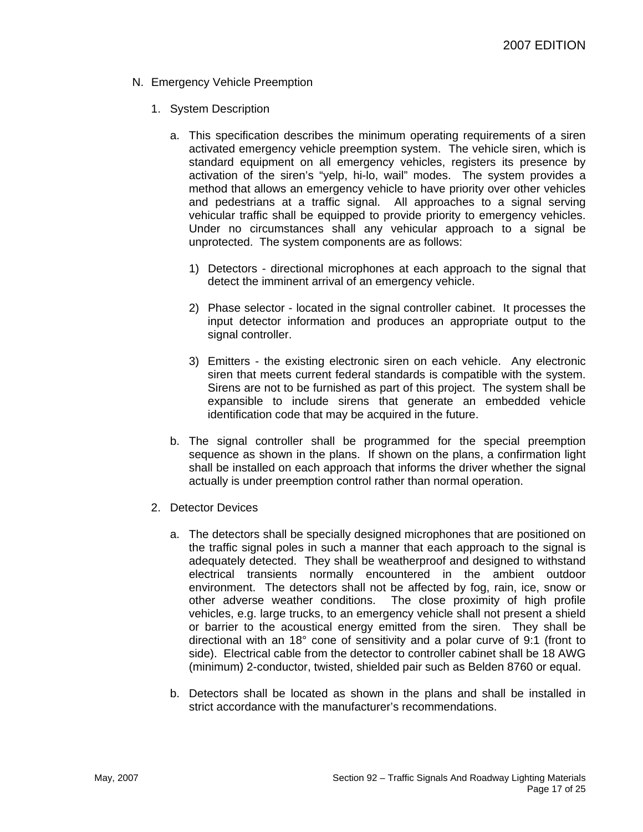- N. Emergency Vehicle Preemption
	- 1. System Description
		- a. This specification describes the minimum operating requirements of a siren activated emergency vehicle preemption system. The vehicle siren, which is standard equipment on all emergency vehicles, registers its presence by activation of the siren's "yelp, hi-lo, wail" modes. The system provides a method that allows an emergency vehicle to have priority over other vehicles and pedestrians at a traffic signal. All approaches to a signal serving vehicular traffic shall be equipped to provide priority to emergency vehicles. Under no circumstances shall any vehicular approach to a signal be unprotected. The system components are as follows:
			- 1) Detectors directional microphones at each approach to the signal that detect the imminent arrival of an emergency vehicle.
			- 2) Phase selector located in the signal controller cabinet. It processes the input detector information and produces an appropriate output to the signal controller.
			- 3) Emitters the existing electronic siren on each vehicle. Any electronic siren that meets current federal standards is compatible with the system. Sirens are not to be furnished as part of this project. The system shall be expansible to include sirens that generate an embedded vehicle identification code that may be acquired in the future.
		- b. The signal controller shall be programmed for the special preemption sequence as shown in the plans. If shown on the plans, a confirmation light shall be installed on each approach that informs the driver whether the signal actually is under preemption control rather than normal operation.
	- 2. Detector Devices
		- a. The detectors shall be specially designed microphones that are positioned on the traffic signal poles in such a manner that each approach to the signal is adequately detected. They shall be weatherproof and designed to withstand electrical transients normally encountered in the ambient outdoor environment. The detectors shall not be affected by fog, rain, ice, snow or other adverse weather conditions. The close proximity of high profile vehicles, e.g. large trucks, to an emergency vehicle shall not present a shield or barrier to the acoustical energy emitted from the siren. They shall be directional with an 18° cone of sensitivity and a polar curve of 9:1 (front to side). Electrical cable from the detector to controller cabinet shall be 18 AWG (minimum) 2-conductor, twisted, shielded pair such as Belden 8760 or equal.
		- b. Detectors shall be located as shown in the plans and shall be installed in strict accordance with the manufacturer's recommendations.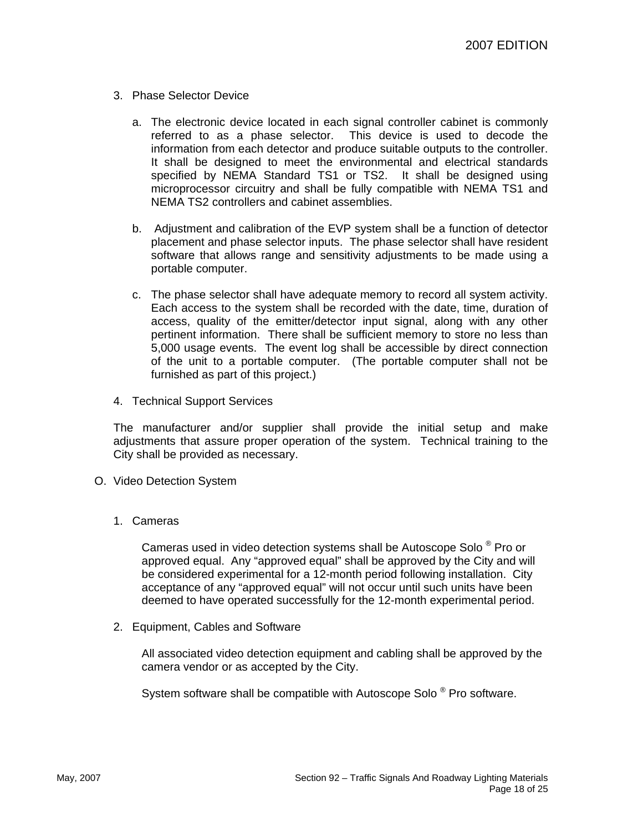- 3. Phase Selector Device
	- a. The electronic device located in each signal controller cabinet is commonly referred to as a phase selector. This device is used to decode the information from each detector and produce suitable outputs to the controller. It shall be designed to meet the environmental and electrical standards specified by NEMA Standard TS1 or TS2. It shall be designed using microprocessor circuitry and shall be fully compatible with NEMA TS1 and NEMA TS2 controllers and cabinet assemblies.
	- b. Adjustment and calibration of the EVP system shall be a function of detector placement and phase selector inputs. The phase selector shall have resident software that allows range and sensitivity adjustments to be made using a portable computer.
	- c. The phase selector shall have adequate memory to record all system activity. Each access to the system shall be recorded with the date, time, duration of access, quality of the emitter/detector input signal, along with any other pertinent information. There shall be sufficient memory to store no less than 5,000 usage events. The event log shall be accessible by direct connection of the unit to a portable computer. (The portable computer shall not be furnished as part of this project.)
- 4. Technical Support Services

The manufacturer and/or supplier shall provide the initial setup and make adjustments that assure proper operation of the system. Technical training to the City shall be provided as necessary.

- O. Video Detection System
	- 1. Cameras

Cameras used in video detection systems shall be Autoscope Solo ® Pro or approved equal. Any "approved equal" shall be approved by the City and will be considered experimental for a 12-month period following installation. City acceptance of any "approved equal" will not occur until such units have been deemed to have operated successfully for the 12-month experimental period.

2. Equipment, Cables and Software

All associated video detection equipment and cabling shall be approved by the camera vendor or as accepted by the City.

System software shall be compatible with Autoscope Solo ® Pro software.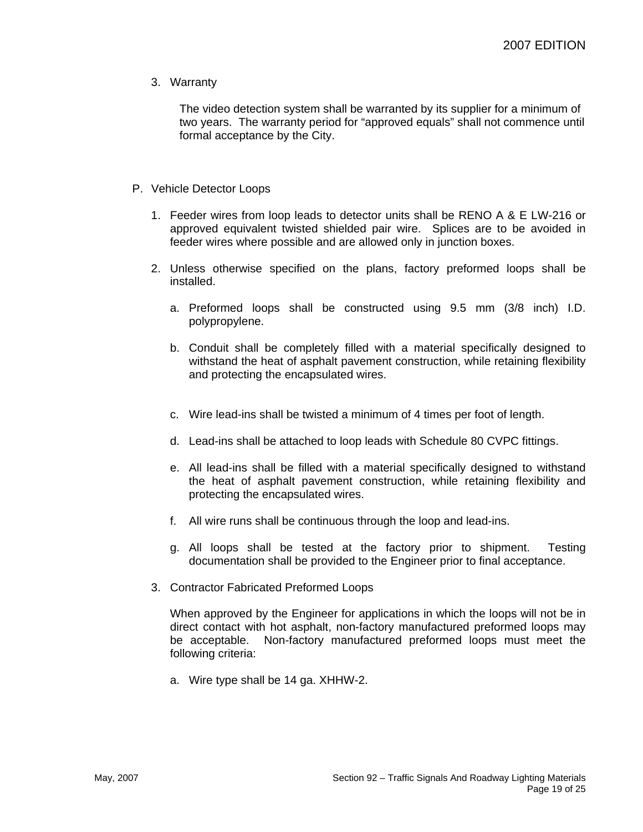3. Warranty

The video detection system shall be warranted by its supplier for a minimum of two years. The warranty period for "approved equals" shall not commence until formal acceptance by the City.

- P. Vehicle Detector Loops
	- 1. Feeder wires from loop leads to detector units shall be RENO A & E LW-216 or approved equivalent twisted shielded pair wire. Splices are to be avoided in feeder wires where possible and are allowed only in junction boxes.
	- 2. Unless otherwise specified on the plans, factory preformed loops shall be installed.
		- a. Preformed loops shall be constructed using 9.5 mm (3/8 inch) I.D. polypropylene.
		- b. Conduit shall be completely filled with a material specifically designed to withstand the heat of asphalt pavement construction, while retaining flexibility and protecting the encapsulated wires.
		- c. Wire lead-ins shall be twisted a minimum of 4 times per foot of length.
		- d. Lead-ins shall be attached to loop leads with Schedule 80 CVPC fittings.
		- e. All lead-ins shall be filled with a material specifically designed to withstand the heat of asphalt pavement construction, while retaining flexibility and protecting the encapsulated wires.
		- f. All wire runs shall be continuous through the loop and lead-ins.
		- g. All loops shall be tested at the factory prior to shipment. Testing documentation shall be provided to the Engineer prior to final acceptance.
	- 3. Contractor Fabricated Preformed Loops

When approved by the Engineer for applications in which the loops will not be in direct contact with hot asphalt, non-factory manufactured preformed loops may be acceptable. Non-factory manufactured preformed loops must meet the following criteria:

a. Wire type shall be 14 ga. XHHW-2.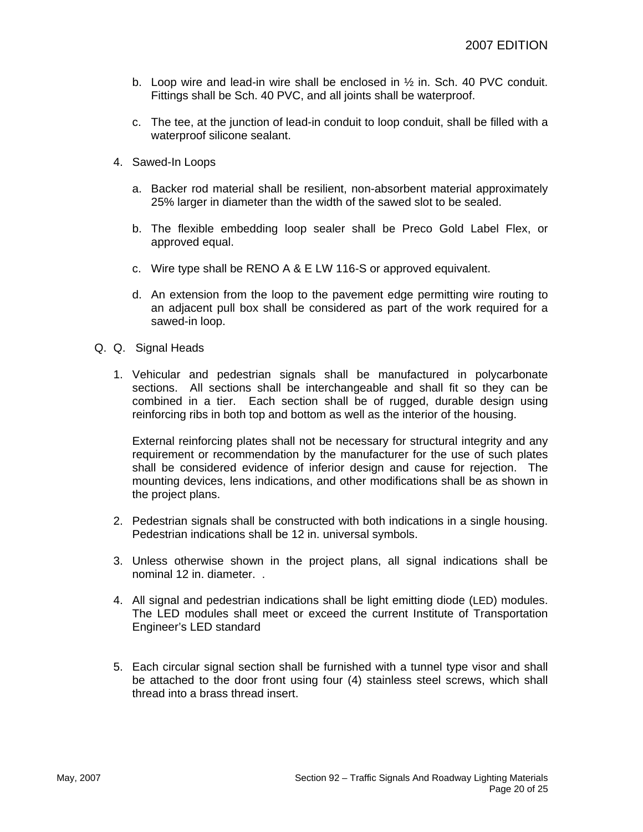- b. Loop wire and lead-in wire shall be enclosed in  $\frac{1}{2}$  in. Sch. 40 PVC conduit. Fittings shall be Sch. 40 PVC, and all joints shall be waterproof.
- c. The tee, at the junction of lead-in conduit to loop conduit, shall be filled with a waterproof silicone sealant.
- 4. Sawed-In Loops
	- a. Backer rod material shall be resilient, non-absorbent material approximately 25% larger in diameter than the width of the sawed slot to be sealed.
	- b. The flexible embedding loop sealer shall be Preco Gold Label Flex, or approved equal.
	- c. Wire type shall be RENO A & E LW 116-S or approved equivalent.
	- d. An extension from the loop to the pavement edge permitting wire routing to an adjacent pull box shall be considered as part of the work required for a sawed-in loop.
- Q. Q. Signal Heads
	- 1. Vehicular and pedestrian signals shall be manufactured in polycarbonate sections. All sections shall be interchangeable and shall fit so they can be combined in a tier. Each section shall be of rugged, durable design using reinforcing ribs in both top and bottom as well as the interior of the housing.

External reinforcing plates shall not be necessary for structural integrity and any requirement or recommendation by the manufacturer for the use of such plates shall be considered evidence of inferior design and cause for rejection. The mounting devices, lens indications, and other modifications shall be as shown in the project plans.

- 2. Pedestrian signals shall be constructed with both indications in a single housing. Pedestrian indications shall be 12 in. universal symbols.
- 3. Unless otherwise shown in the project plans, all signal indications shall be nominal 12 in. diameter. .
- 4. All signal and pedestrian indications shall be light emitting diode (LED) modules. The LED modules shall meet or exceed the current Institute of Transportation Engineer's LED standard
- 5. Each circular signal section shall be furnished with a tunnel type visor and shall be attached to the door front using four (4) stainless steel screws, which shall thread into a brass thread insert.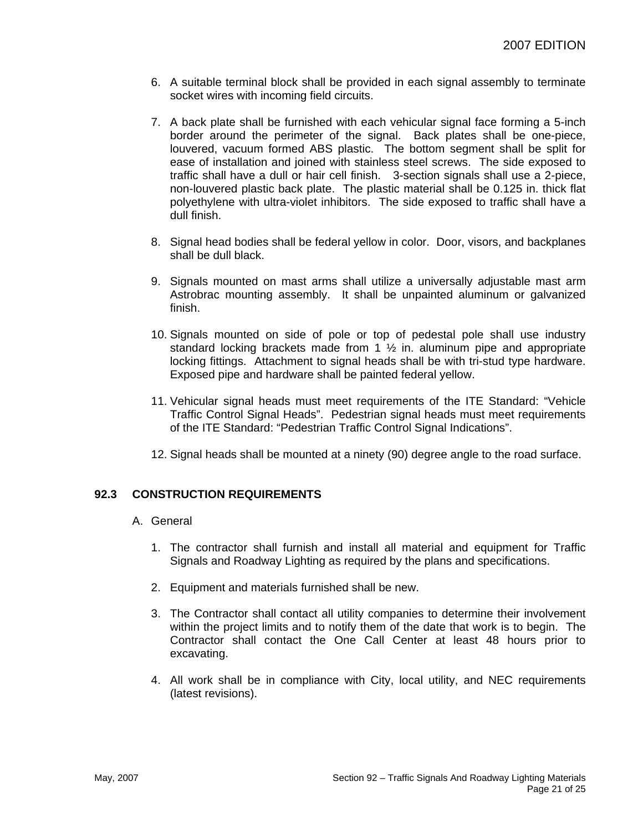- 6. A suitable terminal block shall be provided in each signal assembly to terminate socket wires with incoming field circuits.
- 7. A back plate shall be furnished with each vehicular signal face forming a 5-inch border around the perimeter of the signal. Back plates shall be one-piece, louvered, vacuum formed ABS plastic. The bottom segment shall be split for ease of installation and joined with stainless steel screws. The side exposed to traffic shall have a dull or hair cell finish. 3-section signals shall use a 2-piece, non-louvered plastic back plate. The plastic material shall be 0.125 in. thick flat polyethylene with ultra-violet inhibitors. The side exposed to traffic shall have a dull finish.
- 8. Signal head bodies shall be federal yellow in color. Door, visors, and backplanes shall be dull black.
- 9. Signals mounted on mast arms shall utilize a universally adjustable mast arm Astrobrac mounting assembly. It shall be unpainted aluminum or galvanized finish.
- 10. Signals mounted on side of pole or top of pedestal pole shall use industry standard locking brackets made from 1 ½ in. aluminum pipe and appropriate locking fittings. Attachment to signal heads shall be with tri-stud type hardware. Exposed pipe and hardware shall be painted federal yellow.
- 11. Vehicular signal heads must meet requirements of the ITE Standard: "Vehicle Traffic Control Signal Heads". Pedestrian signal heads must meet requirements of the ITE Standard: "Pedestrian Traffic Control Signal Indications".
- 12. Signal heads shall be mounted at a ninety (90) degree angle to the road surface.

# **92.3 CONSTRUCTION REQUIREMENTS**

- A. General
	- 1. The contractor shall furnish and install all material and equipment for Traffic Signals and Roadway Lighting as required by the plans and specifications.
	- 2. Equipment and materials furnished shall be new.
	- 3. The Contractor shall contact all utility companies to determine their involvement within the project limits and to notify them of the date that work is to begin. The Contractor shall contact the One Call Center at least 48 hours prior to excavating.
	- 4. All work shall be in compliance with City, local utility, and NEC requirements (latest revisions).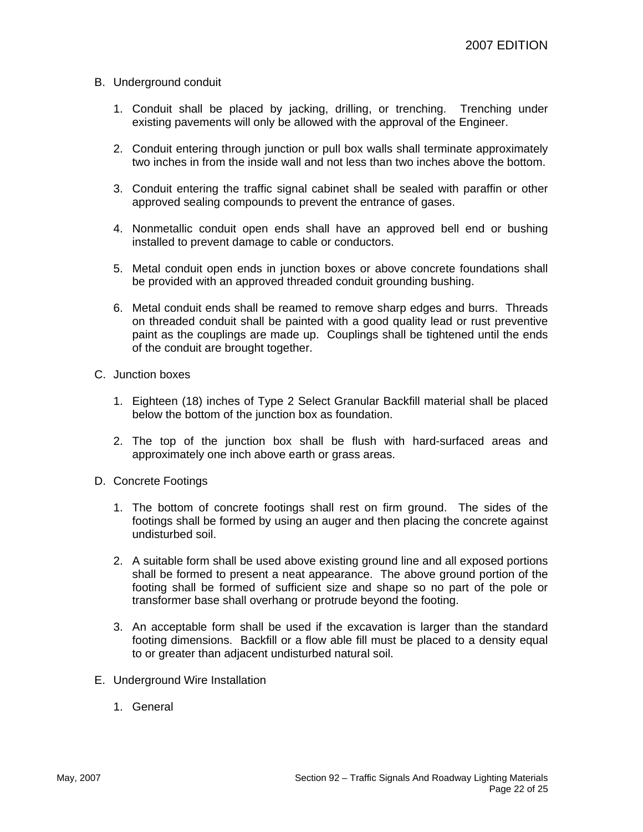#### B. Underground conduit

- 1. Conduit shall be placed by jacking, drilling, or trenching. Trenching under existing pavements will only be allowed with the approval of the Engineer.
- 2. Conduit entering through junction or pull box walls shall terminate approximately two inches in from the inside wall and not less than two inches above the bottom.
- 3. Conduit entering the traffic signal cabinet shall be sealed with paraffin or other approved sealing compounds to prevent the entrance of gases.
- 4. Nonmetallic conduit open ends shall have an approved bell end or bushing installed to prevent damage to cable or conductors.
- 5. Metal conduit open ends in junction boxes or above concrete foundations shall be provided with an approved threaded conduit grounding bushing.
- 6. Metal conduit ends shall be reamed to remove sharp edges and burrs. Threads on threaded conduit shall be painted with a good quality lead or rust preventive paint as the couplings are made up. Couplings shall be tightened until the ends of the conduit are brought together.
- C. Junction boxes
	- 1. Eighteen (18) inches of Type 2 Select Granular Backfill material shall be placed below the bottom of the junction box as foundation.
	- 2. The top of the junction box shall be flush with hard-surfaced areas and approximately one inch above earth or grass areas.
- D. Concrete Footings
	- 1. The bottom of concrete footings shall rest on firm ground. The sides of the footings shall be formed by using an auger and then placing the concrete against undisturbed soil.
	- 2. A suitable form shall be used above existing ground line and all exposed portions shall be formed to present a neat appearance. The above ground portion of the footing shall be formed of sufficient size and shape so no part of the pole or transformer base shall overhang or protrude beyond the footing.
	- 3. An acceptable form shall be used if the excavation is larger than the standard footing dimensions. Backfill or a flow able fill must be placed to a density equal to or greater than adjacent undisturbed natural soil.
- E. Underground Wire Installation
	- 1. General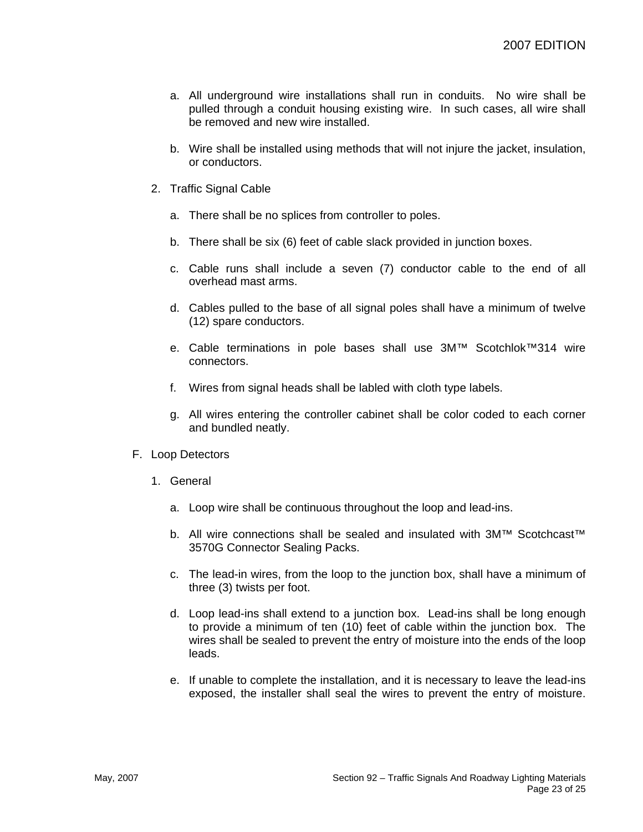- a. All underground wire installations shall run in conduits. No wire shall be pulled through a conduit housing existing wire. In such cases, all wire shall be removed and new wire installed.
- b. Wire shall be installed using methods that will not injure the jacket, insulation, or conductors.
- 2. Traffic Signal Cable
	- a. There shall be no splices from controller to poles.
	- b. There shall be six (6) feet of cable slack provided in junction boxes.
	- c. Cable runs shall include a seven (7) conductor cable to the end of all overhead mast arms.
	- d. Cables pulled to the base of all signal poles shall have a minimum of twelve (12) spare conductors.
	- e. Cable terminations in pole bases shall use 3M™ Scotchlok™314 wire connectors.
	- f. Wires from signal heads shall be labled with cloth type labels.
	- g. All wires entering the controller cabinet shall be color coded to each corner and bundled neatly.
- F. Loop Detectors
	- 1. General
		- a. Loop wire shall be continuous throughout the loop and lead-ins.
		- b. All wire connections shall be sealed and insulated with 3M™ Scotchcast™ 3570G Connector Sealing Packs.
		- c. The lead-in wires, from the loop to the junction box, shall have a minimum of three (3) twists per foot.
		- d. Loop lead-ins shall extend to a junction box. Lead-ins shall be long enough to provide a minimum of ten (10) feet of cable within the junction box. The wires shall be sealed to prevent the entry of moisture into the ends of the loop leads.
		- e. If unable to complete the installation, and it is necessary to leave the lead-ins exposed, the installer shall seal the wires to prevent the entry of moisture.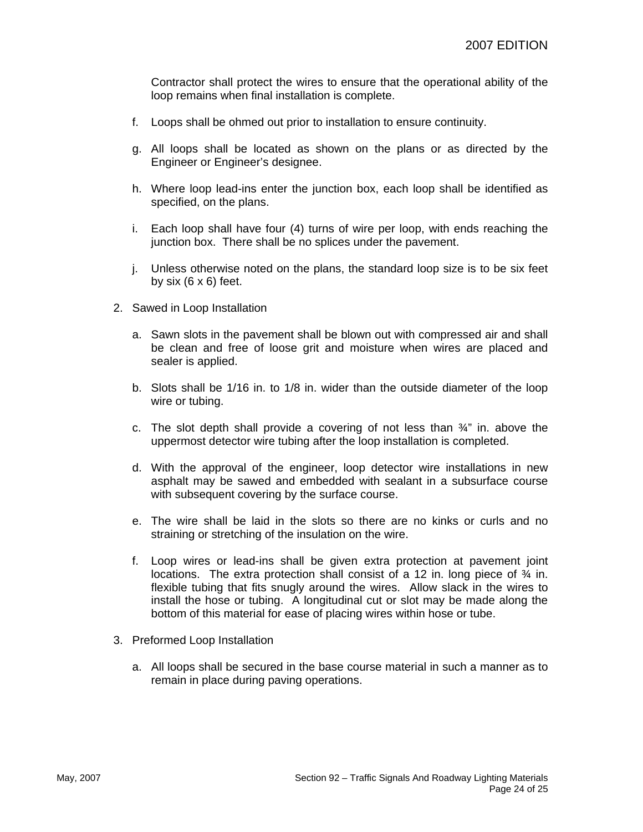Contractor shall protect the wires to ensure that the operational ability of the loop remains when final installation is complete.

- f. Loops shall be ohmed out prior to installation to ensure continuity.
- g. All loops shall be located as shown on the plans or as directed by the Engineer or Engineer's designee.
- h. Where loop lead-ins enter the junction box, each loop shall be identified as specified, on the plans.
- i. Each loop shall have four (4) turns of wire per loop, with ends reaching the junction box. There shall be no splices under the pavement.
- j. Unless otherwise noted on the plans, the standard loop size is to be six feet by six  $(6 \times 6)$  feet.
- 2. Sawed in Loop Installation
	- a. Sawn slots in the pavement shall be blown out with compressed air and shall be clean and free of loose grit and moisture when wires are placed and sealer is applied.
	- b. Slots shall be 1/16 in. to 1/8 in. wider than the outside diameter of the loop wire or tubing.
	- c. The slot depth shall provide a covering of not less than  $\frac{3}{4}$ " in. above the uppermost detector wire tubing after the loop installation is completed.
	- d. With the approval of the engineer, loop detector wire installations in new asphalt may be sawed and embedded with sealant in a subsurface course with subsequent covering by the surface course.
	- e. The wire shall be laid in the slots so there are no kinks or curls and no straining or stretching of the insulation on the wire.
	- f. Loop wires or lead-ins shall be given extra protection at pavement joint locations. The extra protection shall consist of a 12 in. long piece of  $\frac{3}{4}$  in. flexible tubing that fits snugly around the wires. Allow slack in the wires to install the hose or tubing. A longitudinal cut or slot may be made along the bottom of this material for ease of placing wires within hose or tube.
- 3. Preformed Loop Installation
	- a. All loops shall be secured in the base course material in such a manner as to remain in place during paving operations.